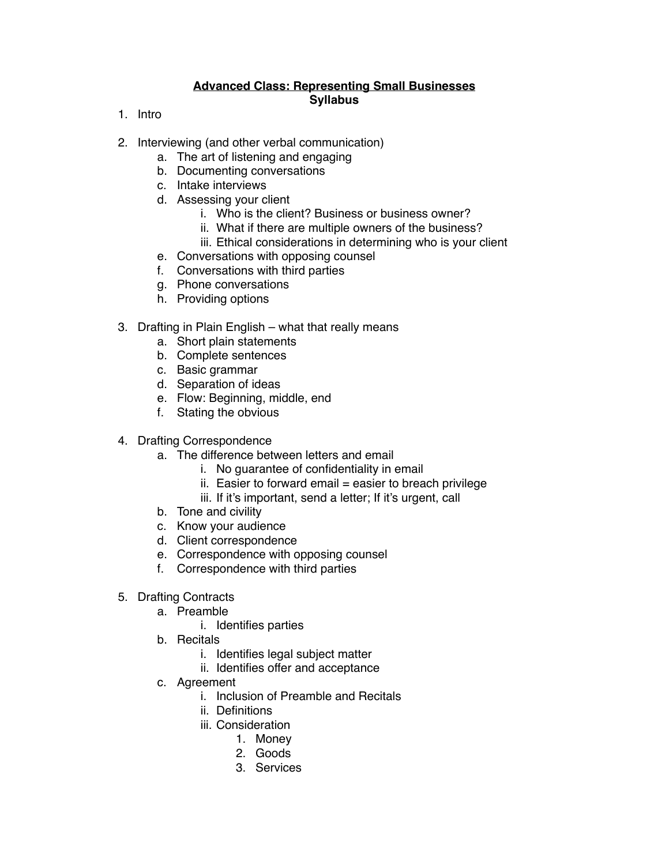## **Advanced Class: Representing Small Businesses Syllabus**

- 1. Intro
- 2. Interviewing (and other verbal communication)
	- a. The art of listening and engaging
	- b. Documenting conversations
	- c. Intake interviews
	- d. Assessing your client
		- i. Who is the client? Business or business owner?
		- ii. What if there are multiple owners of the business?
		- iii. Ethical considerations in determining who is your client
	- e. Conversations with opposing counsel
	- f. Conversations with third parties
	- g. Phone conversations
	- h. Providing options
- 3. Drafting in Plain English what that really means
	- a. Short plain statements
	- b. Complete sentences
	- c. Basic grammar
	- d. Separation of ideas
	- e. Flow: Beginning, middle, end
	- f. Stating the obvious
- 4. Drafting Correspondence
	- a. The difference between letters and email
		- i. No guarantee of confidentiality in email
		- $ii.$  Easier to forward email = easier to breach privilege
		- iii. If it's important, send a letter; If it's urgent, call
	- b. Tone and civility
	- c. Know your audience
	- d. Client correspondence
	- e. Correspondence with opposing counsel
	- f. Correspondence with third parties
- 5. Drafting Contracts
	- a. Preamble
		- i. Identifies parties
	- b. Recitals
		- i. Identifies legal subject matter
		- ii. Identifies offer and acceptance
	- c. Agreement
		- i. Inclusion of Preamble and Recitals
		- ii. Definitions
		- iii. Consideration
			- 1. Money
			- 2. Goods
			- 3. Services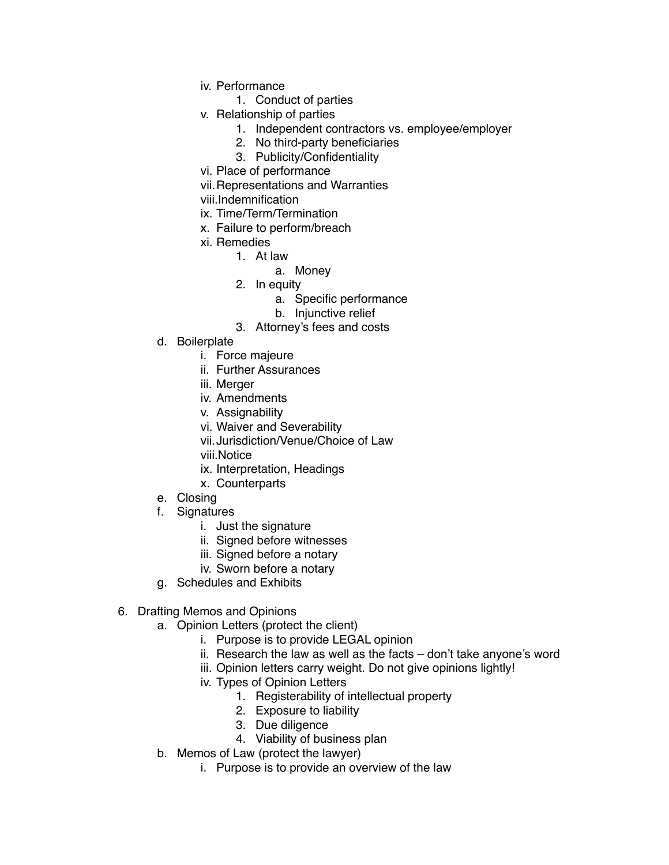- iv. Performance
	- 1. Conduct of parties
- v. Relationship of parties
	- 1. Independent contractors vs. employee/employer
	- 2. No third-party beneficiaries
	- 3. Publicity/Confidentiality
- vi. Place of performance
- vii.Representations and Warranties
- viii.Indemnification
- ix. Time/Term/Termination
- x. Failure to perform/breach
- xi. Remedies
	- 1. At law
		- a. Money
	- 2. In equity
		- a. Specific performance
		- b. Injunctive relief
	- 3. Attorney's fees and costs
- d. Boilerplate
	- i. Force majeure
	- ii. Further Assurances
	- iii. Merger
	- iv. Amendments
	- v. Assignability
	- vi. Waiver and Severability
	- vii.Jurisdiction/Venue/Choice of Law
	- viii.Notice
	- ix. Interpretation, Headings
	- x. Counterparts
- e. Closing
- f. Signatures
	- i. Just the signature
	- ii. Signed before witnesses
	- iii. Signed before a notary
	- iv. Sworn before a notary
- g. Schedules and Exhibits
- 6. Drafting Memos and Opinions
	- a. Opinion Letters (protect the client)
		- i. Purpose is to provide LEGAL opinion
		- ii. Research the law as well as the facts don't take anyone's word
		- iii. Opinion letters carry weight. Do not give opinions lightly!
		- iv. Types of Opinion Letters
			- 1. Registerability of intellectual property
			- 2. Exposure to liability
			- 3. Due diligence
			- 4. Viability of business plan
	- b. Memos of Law (protect the lawyer)
		- i. Purpose is to provide an overview of the law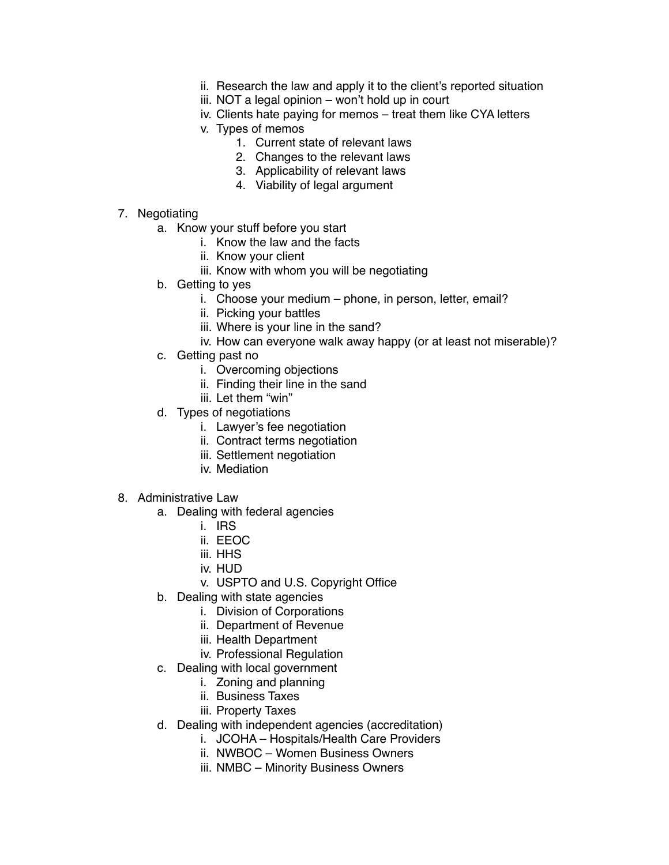- ii. Research the law and apply it to the client's reported situation
- iii. NOT a legal opinion won't hold up in court
- iv. Clients hate paying for memos treat them like CYA letters
- v. Types of memos
	- 1. Current state of relevant laws
	- 2. Changes to the relevant laws
	- 3. Applicability of relevant laws
	- 4. Viability of legal argument
- 7. Negotiating
	- a. Know your stuff before you start
		- i. Know the law and the facts
		- ii. Know your client
		- iii. Know with whom you will be negotiating
	- b. Getting to yes
		- i. Choose your medium phone, in person, letter, email?
		- ii. Picking your battles
		- iii. Where is your line in the sand?
		- iv. How can everyone walk away happy (or at least not miserable)?
	- c. Getting past no
		- i. Overcoming objections
		- ii. Finding their line in the sand
		- iii. Let them "win"
	- d. Types of negotiations
		- i. Lawyer's fee negotiation
		- ii. Contract terms negotiation
		- iii. Settlement negotiation
		- iv. Mediation
- 8. Administrative Law
	- a. Dealing with federal agencies
		- i. IRS
		- ii. EEOC
		- iii. HHS
		- iv. HUD
		- v. USPTO and U.S. Copyright Office
	- b. Dealing with state agencies
		- i. Division of Corporations
		- ii. Department of Revenue
		- iii. Health Department
		- iv. Professional Regulation
	- c. Dealing with local government
		- i. Zoning and planning
		- ii. Business Taxes
		- iii. Property Taxes
	- d. Dealing with independent agencies (accreditation)
		- i. JCOHA Hospitals/Health Care Providers
		- ii. NWBOC Women Business Owners
		- iii. NMBC Minority Business Owners